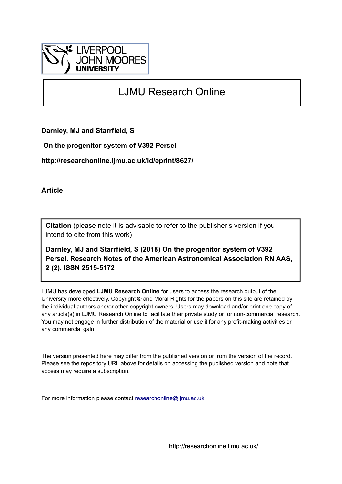

## LJMU Research Online

**Darnley, MJ and Starrfield, S**

 **On the progenitor system of V392 Persei**

**http://researchonline.ljmu.ac.uk/id/eprint/8627/**

**Article**

**Citation** (please note it is advisable to refer to the publisher's version if you intend to cite from this work)

**Darnley, MJ and Starrfield, S (2018) On the progenitor system of V392 Persei. Research Notes of the American Astronomical Association RN AAS, 2 (2). ISSN 2515-5172** 

LJMU has developed **[LJMU Research Online](http://researchonline.ljmu.ac.uk/)** for users to access the research output of the University more effectively. Copyright © and Moral Rights for the papers on this site are retained by the individual authors and/or other copyright owners. Users may download and/or print one copy of any article(s) in LJMU Research Online to facilitate their private study or for non-commercial research. You may not engage in further distribution of the material or use it for any profit-making activities or any commercial gain.

The version presented here may differ from the published version or from the version of the record. Please see the repository URL above for details on accessing the published version and note that access may require a subscription.

For more information please contact [researchonline@ljmu.ac.uk](mailto:researchonline@ljmu.ac.uk)

http://researchonline.ljmu.ac.uk/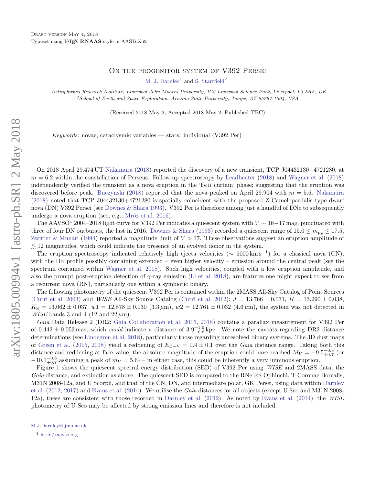## ON THE PROGENITOR SYSTEM OF V392 PERSEI

[M. J. Darnley](http://orcid.org/0000-0003-0156-3377)<sup>1</sup> and [S. Starrfield](http://orcid.org/0000-0002-1359-6312)<sup>2</sup>

<sup>1</sup> Astrophysics Research Institute, Liverpool John Moores University, IC2 Liverpool Science Park, Liverpool, L3 5RF, UK <sup>2</sup>School of Earth and Space Exploration, Arizona State University, Tempe, AZ 85287-1504, USA

(Received 2018 May 2; Accepted 2018 May 2; Published TBC)

Keywords: novae, cataclysmic variables — stars: individual (V392 Per)

On 2018 April 29.474 UT [Nakamura](#page-3-0) [\(2018\)](#page-3-0) reported the discovery of a new transient, TCP J04432130+4721280, at  $m = 6.2$  within the constellation of Perseus. Follow-up spectroscopy by [Leadbeater](#page-3-1) [\(2018\)](#page-3-2) and [Wagner et al.](#page-3-2) (2018) independently verified the transient as a nova eruption in the 'Fe II curtain' phase; suggesting that the eruption was discovered before peak. [Buczynski](#page-3-3) [\(2018\)](#page-3-3) reported that the nova peaked on April 29.904 with  $m = 5.6$ . [Nakamura](#page-3-0) [\(2018\)](#page-3-0) noted that TCP J04432130+4721280 is spatially coincident with the proposed Z Camelopardalis type dwarf nova (DN) V392 Persei (see [Downes & Shara](#page-3-4) [1993\)](#page-3-4). V392 Per is therefore among just a handful of DNe to subsequently undergo a nova eruption (see, e.g., Mróz et al. [2016\)](#page-3-5).

The AAVSO<sup>[1](#page-1-1)</sup> 2004–2018 light curve for V392 Per indicates a quiescent system with  $V \sim 16-17$  mag, punctuated with three of four DN outbursts, the last in 2016. [Downes & Shara](#page-3-4) [\(1993\)](#page-3-4) recorded a quiescent range of  $15.0 \le m_{\text{pg}} \le 17.5$ , [Zwitter & Munari](#page-3-6) [\(1994\)](#page-3-6) reported a magnitude limit of  $V > 17$ . These observations suggest an eruption amplitude of  $\leq$  12 magnitudes, which could indicate the presence of an evolved donor in the system.

The eruption spectroscopy indicated relatively high ejecta velocities ( $\sim 5000 \,\mathrm{km \, s^{-1}}$ ) for a classical nova (CN), with the H $\alpha$  profile possibly containing extended – even higher velocity – emission around the central peak (see the spectrum contained within [Wagner et al.](#page-3-2) [2018\)](#page-3-2). Such high velocities, coupled with a low eruption amplitude, and also the prompt post-eruption detection of  $\gamma$ -ray emission [\(Li et al.](#page-3-7) [2018\)](#page-3-7), are features one might expect to see from a recurrent nova (RN), particularly one within a symbiotic binary.

The following photometry of the quiescent V392 Per is contained within the 2MASS All-Sky Catalog of Point Sources [\(Cutri et al.](#page-3-9) [2003\)](#page-3-8) and *WISE* All-Sky Source Catalog (Cutri et al. [2012\)](#page-3-9):  $J = 13.766 \pm 0.031$ ,  $H = 13.290 \pm 0.038$ ,  $K_{\rm S} = 13.062 \pm 0.037$ ,  $w1 = 12.878 \pm 0.030$  (3.3  $\mu$ m),  $w2 = 12.761 \pm 0.032$  (4.6  $\mu$ m), the system was not detected in *WISE* bands 3 and 4 (12 and  $22 \mu m$ ).

Gaia Data Release 2 (DR2; [Gaia Collaboration et al.](#page-3-10) [2016,](#page-3-10) [2018\)](#page-3-11) contains a parallax measurement for V392 Per of  $0.442 \pm 0.053$  mas, which *could* indicate a distance of  $3.9^{+1.0}_{-0.6}$  kpc. We note the caveats regarding DR2 distance determinations (see [Lindegren et al.](#page-3-12) [2018\)](#page-3-12), particularly those regarding unresolved binary systems. The 3D dust maps of [Green et al.](#page-3-13) [\(2015,](#page-3-13) [2018\)](#page-3-14) yield a reddening of  $E_{B-V} = 0.9 \pm 0.1$  over the Gaia distance range. Taking both this distance and reddening at face value, the absolute magnitude of the eruption could have reached  $M_V = -9.5_{+0.7}^{+0.8}$  (or  $-10.1_{+0.7}^{-0.8}$  assuming a peak of  $m_V = 5.6$ ) – in either case, this could be inherently a very luminous eruption.

Figure [1](#page-2-0) shows the quiescent spectral energy distribution (SED) of V392 Per using WISE and 2MASS data, the Gaia distance, and extinction as above. The quiescent SED is compared to the RNe RS Ophiuchi, T Coronae Borealis, M31N 2008-12a, and U Scorpii, and that of the CN, DN, and intermediate polar, GK Persei, using data within [Darnley](#page-3-15) [et al.](#page-3-15) [\(2012,](#page-3-15) [2017\)](#page-3-16) and [Evans et al.](#page-3-17) [\(2014\)](#page-3-17). We utilise the Gaia distances for all objects (except U Sco and M31N 2008- 12a), these are consistent with those recorded in [Darnley et al.](#page-3-15) [\(2012\)](#page-3-15). As noted by [Evans et al.](#page-3-17) [\(2014\)](#page-3-17), the WISE photometry of U Sco may be affected by strong emission lines and therefore is not included.

<span id="page-1-0"></span>[M.J.Darnley@ljmu.ac.uk](mailto: M.J.Darnley@ljmu.ac.uk)

<span id="page-1-1"></span> $1$  <http://aavso.org>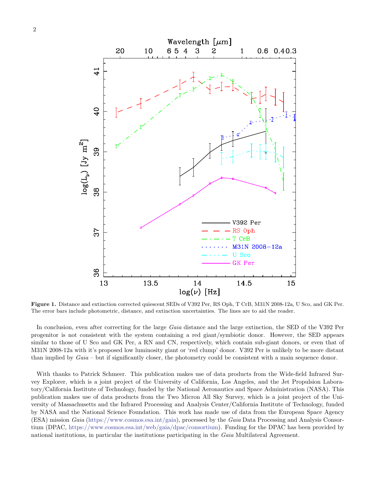



<span id="page-2-0"></span>Figure 1. Distance and extinction corrected quiescent SEDs of V392 Per, RS Oph, T CrB, M31N 2008-12a, U Sco, and GK Per. The error bars include photometric, distance, and extinction uncertainties. The lines are to aid the reader.

In conclusion, even after correcting for the large Gaia distance and the large extinction, the SED of the V392 Per progenitor is not consistent with the system containing a red giant/symbiotic donor. However, the SED appears similar to those of U Sco and GK Per, a RN and CN, respectively, which contain sub-giant donors, or even that of M31N 2008-12a with it's proposed low luminosity giant or 'red clump' donor. V392 Per is unlikely to be more distant than implied by  $Gaia$  – but if significantly closer, the photometry could be consistent with a main sequence donor.

With thanks to Patrick Schmeer. This publication makes use of data products from the Wide-field Infrared Survey Explorer, which is a joint project of the University of California, Los Angeles, and the Jet Propulsion Laboratory/California Institute of Technology, funded by the National Aeronautics and Space Administration (NASA). This publication makes use of data products from the Two Micron All Sky Survey, which is a joint project of the University of Massachusetts and the Infrared Processing and Analysis Center/California Institute of Technology, funded by NASA and the National Science Foundation. This work has made use of data from the European Space Agency (ESA) mission Gaia [\(https://www.cosmos.esa.int/gaia\)](https://www.cosmos.esa.int/gaia), processed by the Gaia Data Processing and Analysis Consortium (DPAC, [https://www.cosmos.esa.int/web/gaia/dpac/consortium\)](https://www.cosmos.esa.int/web/gaia/dpac/consortium). Funding for the DPAC has been provided by national institutions, in particular the institutions participating in the Gaia Multilateral Agreement.